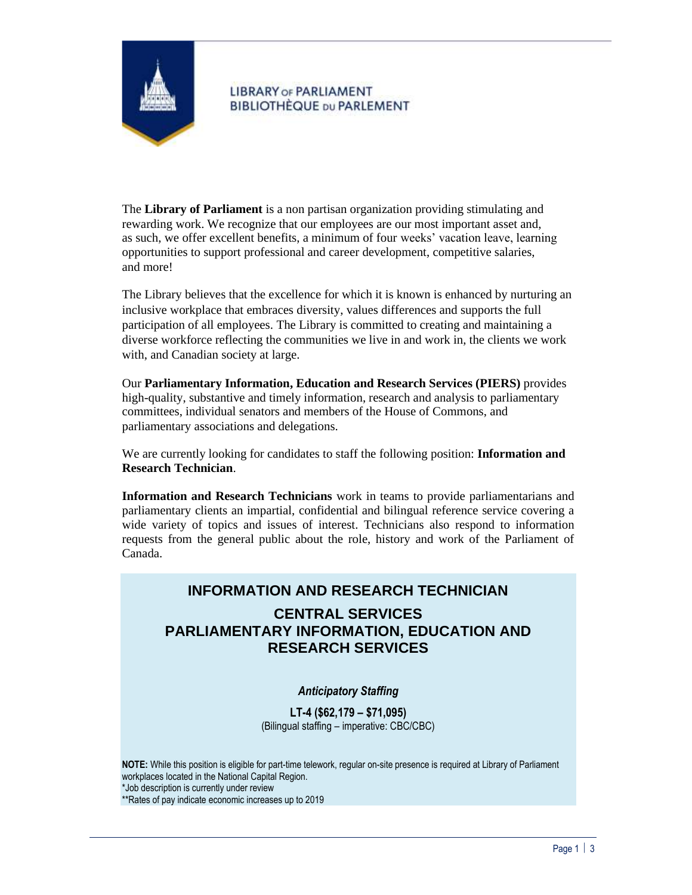

# **LIBRARY OF PARLIAMENT BIBLIOTHÈQUE DU PARLEMENT**

The **Library of Parliament** is a non partisan organization providing stimulating and rewarding work. We recognize that our employees are our most important asset and, as such, we offer excellent benefits, a minimum of four weeks' vacation leave, learning opportunities to support professional and career development, competitive salaries, and more!

The Library believes that the excellence for which it is known is enhanced by nurturing an inclusive workplace that embraces diversity, values differences and supports the full participation of all employees. The Library is committed to creating and maintaining a diverse workforce reflecting the communities we live in and work in, the clients we work with, and Canadian society at large.

Our **Parliamentary Information, Education and Research Services (PIERS)** provides high-quality, substantive and timely information, research and analysis to parliamentary committees, individual senators and members of the House of Commons, and parliamentary associations and delegations.

We are currently looking for candidates to staff the following position: **Information and Research Technician**.

**Information and Research Technicians** work in teams to provide parliamentarians and parliamentary clients an impartial, confidential and bilingual reference service covering a wide variety of topics and issues of interest. Technicians also respond to information requests from the general public about the role, history and work of the Parliament of Canada.

# **INFORMATION AND RESEARCH TECHNICIAN**

# **CENTRAL SERVICES PARLIAMENTARY INFORMATION, EDUCATION AND RESEARCH SERVICES**

# *Anticipatory Staffing*

**LT-4 (\$62,179 – \$71,095)** (Bilingual staffing – imperative: CBC/CBC)

**NOTE:** While this position is eligible for part-time telework, regular on-site presence is required at Library of Parliament workplaces located in the National Capital Region. \*Job description is currently under review \*\*Rates of pay indicate economic increases up to 2019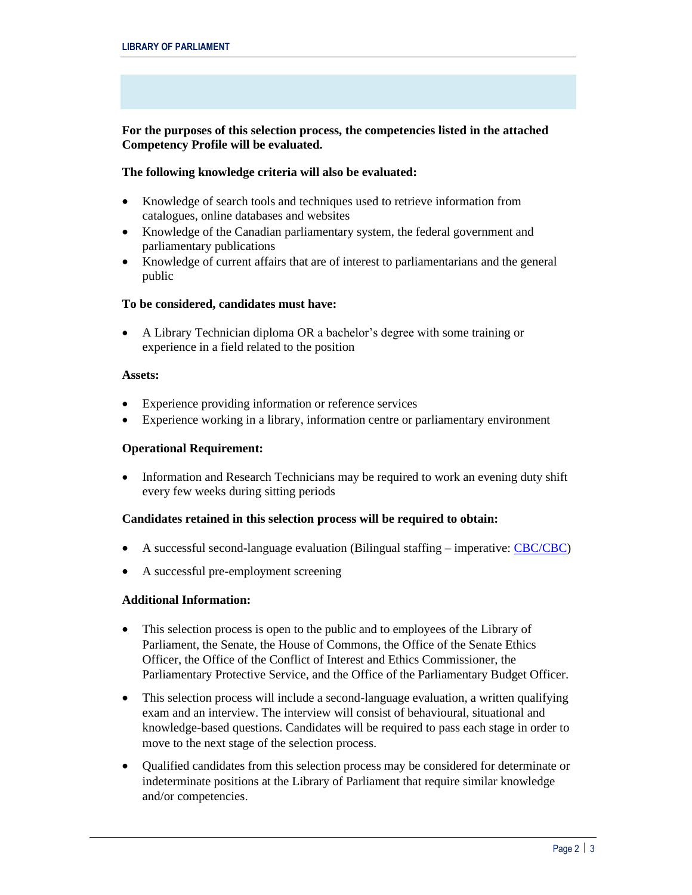## **For the purposes of this selection process, the competencies listed in the attached Competency Profile will be evaluated.**

## **The following knowledge criteria will also be evaluated:**

- Knowledge of search tools and techniques used to retrieve information from catalogues, online databases and websites
- Knowledge of the Canadian parliamentary system, the federal government and parliamentary publications
- Knowledge of current affairs that are of interest to parliamentarians and the general public

## **To be considered, candidates must have:**

• A Library Technician diploma OR a bachelor's degree with some training or experience in a field related to the position

### **Assets:**

- Experience providing information or reference services
- Experience working in a library, information centre or parliamentary environment

### **Operational Requirement:**

• Information and Research Technicians may be required to work an evening duty shift every few weeks during sitting periods

### **Candidates retained in this selection process will be required to obtain:**

- A successful second-language evaluation (Bilingual staffing imperative[: CBC/CBC\)](https://www.canada.ca/en/treasury-board-secretariat/services/staffing/qualification-standards/relation-official-languages.html)
- A successful pre-employment screening

### **Additional Information:**

- This selection process is open to the public and to employees of the Library of Parliament, the Senate, the House of Commons, the Office of the Senate Ethics Officer, the Office of the Conflict of Interest and Ethics Commissioner, the Parliamentary Protective Service, and the Office of the Parliamentary Budget Officer.
- This selection process will include a second-language evaluation, a written qualifying exam and an interview. The interview will consist of behavioural, situational and knowledge-based questions. Candidates will be required to pass each stage in order to move to the next stage of the selection process.
- Qualified candidates from this selection process may be considered for determinate or indeterminate positions at the Library of Parliament that require similar knowledge and/or competencies.